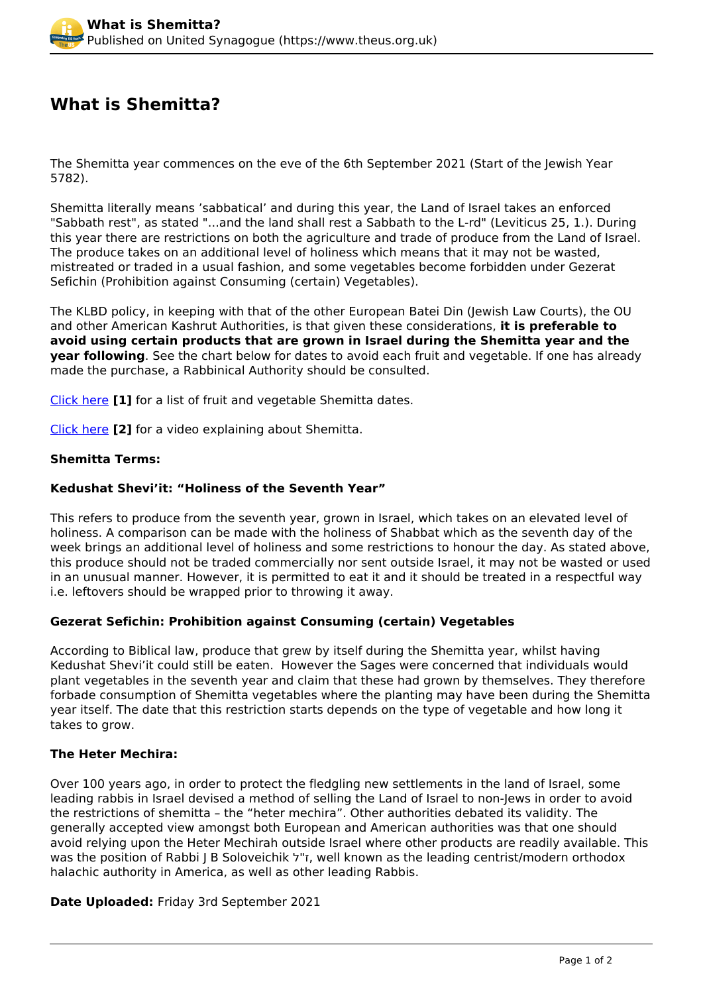# **What is Shemitta?**

The Shemitta year commences on the eve of the 6th September 2021 (Start of the Jewish Year 5782).

Shemitta literally means 'sabbatical' and during this year, the Land of Israel takes an enforced "Sabbath rest", as stated "...and the land shall rest a Sabbath to the L-rd" (Leviticus 25, 1.). During this year there are restrictions on both the agriculture and trade of produce from the Land of Israel. The produce takes on an additional level of holiness which means that it may not be wasted, mistreated or traded in a usual fashion, and some vegetables become forbidden under Gezerat Sefichin (Prohibition against Consuming (certain) Vegetables).

The KLBD policy, in keeping with that of the other European Batei Din (Jewish Law Courts), the OU and other American Kashrut Authorities, is that given these considerations, **it is preferable to avoid using certain products that are grown in Israel during the Shemitta year and the year following**. See the chart below for dates to avoid each fruit and vegetable. If one has already made the purchase, a Rabbinical Authority should be consulted.

[Click here](http://www.kosher.org.uk/article/shemitta-dates) **[1]** for a list of fruit and vegetable Shemitta dates.

[Click here](http://www.kosher.org.uk/article/what-shemitta-0) **[2]** for a video explaining about Shemitta.

#### **Shemitta Terms:**

## **Kedushat Shevi'it: "Holiness of the Seventh Year"**

This refers to produce from the seventh year, grown in Israel, which takes on an elevated level of holiness. A comparison can be made with the holiness of Shabbat which as the seventh day of the week brings an additional level of holiness and some restrictions to honour the day. As stated above, this produce should not be traded commercially nor sent outside Israel, it may not be wasted or used in an unusual manner. However, it is permitted to eat it and it should be treated in a respectful way i.e. leftovers should be wrapped prior to throwing it away.

#### **Gezerat Sefichin: Prohibition against Consuming (certain) Vegetables**

According to Biblical law, produce that grew by itself during the Shemitta year, whilst having Kedushat Shevi'it could still be eaten. However the Sages were concerned that individuals would plant vegetables in the seventh year and claim that these had grown by themselves. They therefore forbade consumption of Shemitta vegetables where the planting may have been during the Shemitta year itself. The date that this restriction starts depends on the type of vegetable and how long it takes to grow.

#### **The Heter Mechira:**

Over 100 years ago, in order to protect the fledgling new settlements in the land of Israel, some leading rabbis in Israel devised a method of selling the Land of Israel to non-Jews in order to avoid the restrictions of shemitta – the "heter mechira". Other authorities debated its validity. The generally accepted view amongst both European and American authorities was that one should avoid relying upon the Heter Mechirah outside Israel where other products are readily available. This was the position of Rabbi J B Soloveichik  $7"$ , well known as the leading centrist/modern orthodox halachic authority in America, as well as other leading Rabbis.

**Date Uploaded:** Friday 3rd September 2021